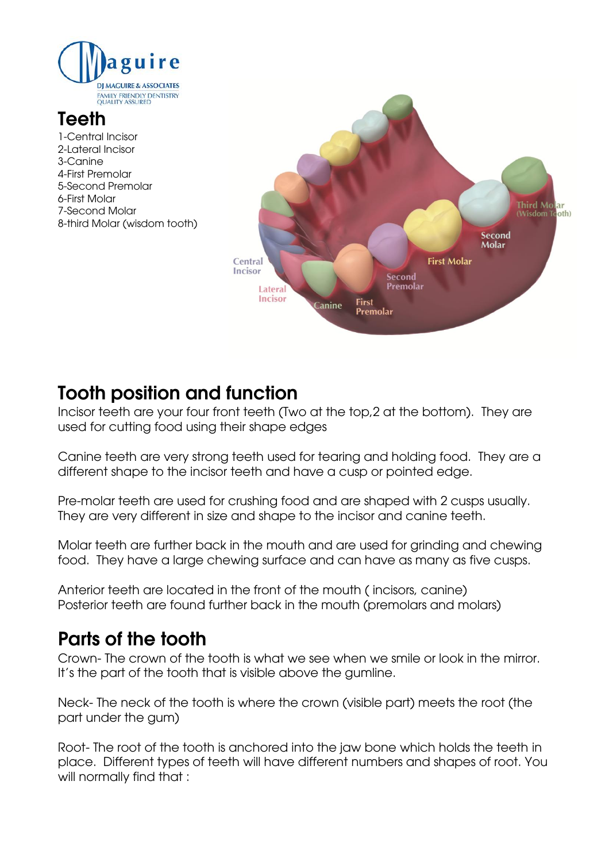

# **Teeth**

1-Central Incisor 2-Lateral Incisor 3-Canine 4-First Premolar 5-Second Premolar 6-First Molar 7-Second Molar 8-third Molar (wisdom tooth)



# **Tooth position and function**

Incisor teeth are your four front teeth (Two at the top,2 at the bottom). They are used for cutting food using their shape edges

Canine teeth are very strong teeth used for tearing and holding food. They are a different shape to the incisor teeth and have a cusp or pointed edge.

Pre-molar teeth are used for crushing food and are shaped with 2 cusps usually. They are very different in size and shape to the incisor and canine teeth.

Molar teeth are further back in the mouth and are used for grinding and chewing food. They have a large chewing surface and can have as many as five cusps.

Anterior teeth are located in the front of the mouth ( incisors, canine) Posterior teeth are found further back in the mouth (premolars and molars)

### **Parts of the tooth**

Crown- The crown of the tooth is what we see when we smile or look in the mirror. It's the part of the tooth that is visible above the gumline.

Neck- The neck of the tooth is where the crown (visible part) meets the root (the part under the gum)

Root- The root of the tooth is anchored into the jaw bone which holds the teeth in place. Different types of teeth will have different numbers and shapes of root. You will normally find that :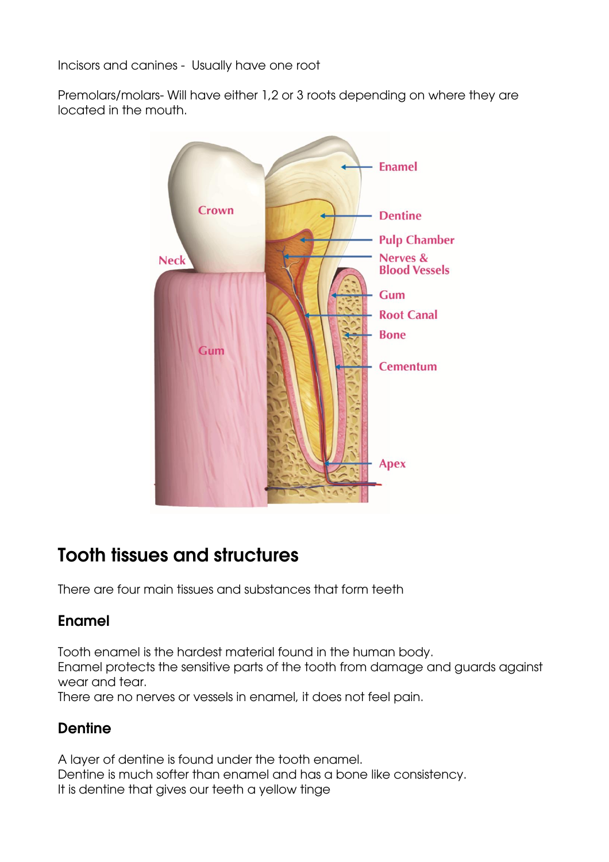Incisors and canines - Usually have one root

Premolars/molars- Will have either 1,2 or 3 roots depending on where they are located in the mouth.



## **Tooth tissues and structures**

There are four main tissues and substances that form teeth

#### **Enamel**

Tooth enamel is the hardest material found in the human body. Enamel protects the sensitive parts of the tooth from damage and guards against wear and tear.

There are no nerves or vessels in enamel, it does not feel pain.

### **Dentine**

A layer of dentine is found under the tooth enamel. Dentine is much softer than enamel and has a bone like consistency. It is dentine that gives our teeth a yellow tinge